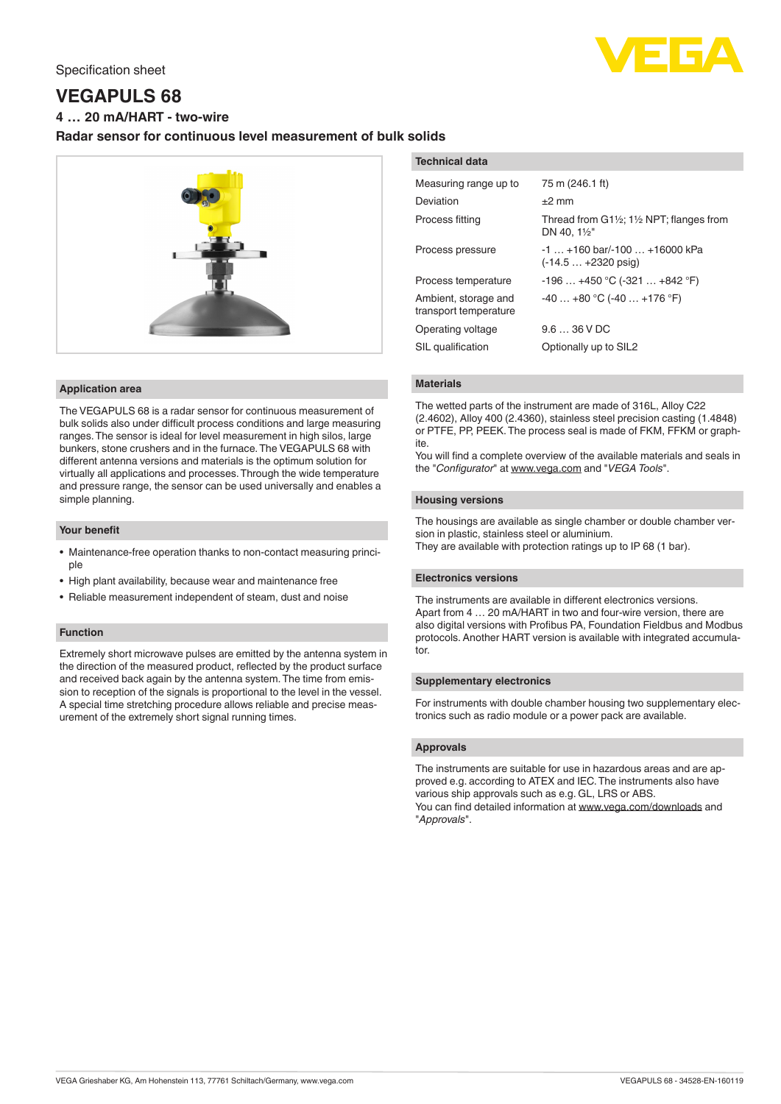

# **VEGAPULS 68**

**4 … 20 mA/HART - two-wire**

# **Radar sensor for continuous level measurement of bulk solids**



#### **Application area**

The VEGAPULS 68 is a radar sensor for continuous measurement of bulk solids also under difficult process conditions and large measuring ranges. The sensor is ideal for level measurement in high silos, large bunkers, stone crushers and in the furnace. The VEGAPULS 68 with different antenna versions and materials is the optimum solution for virtually all applications and processes. Through the wide temperature and pressure range, the sensor can be used universally and enables a simple planning.

#### **Your benefit**

- Maintenance-free operation thanks to non-contact measuring principle
- High plant availability, because wear and maintenance free
- Reliable measurement independent of steam, dust and noise

## **Function**

Extremely short microwave pulses are emitted by the antenna system in the direction of the measured product, reflected by the product surface and received back again by the antenna system. The time from emission to reception of the signals is proportional to the level in the vessel. A special time stretching procedure allows reliable and precise measurement of the extremely short signal running times.

| <b>Technical data</b>                         |                                                                  |
|-----------------------------------------------|------------------------------------------------------------------|
| Measuring range up to                         | 75 m (246.1 ft)                                                  |
| Deviation                                     | $±2$ mm                                                          |
| Process fitting                               | Thread from G1½; 1½ NPT; flanges from<br>DN 40. $1\frac{1}{2}$ " |
| Process pressure                              | $-1$ $+160$ bar/ $-100$ $+16000$ kPa<br>$(-14.5+2320)$ psig)     |
| Process temperature                           | $-196+450$ °C ( $-321+842$ °F)                                   |
| Ambient, storage and<br>transport temperature | $-40+80$ °C (-40  +176 °F)                                       |
| Operating voltage                             | $9.636$ V DC                                                     |
| SIL qualification                             | Optionally up to SIL2                                            |

#### **Materials**

The wetted parts of the instrument are made of 316L, Alloy C22 (2.4602), Alloy 400 (2.4360), stainless steel precision casting (1.4848) or PTFE, PP, PEEK. The process seal is made of FKM, FFKM or graphite.

You will find a complete overview of the available materials and seals in the "*Configurator*" at [www.vega.com](http://www.vega.com) and "*VEGA Tools*".

#### **Housing versions**

The housings are available as single chamber or double chamber version in plastic, stainless steel or aluminium.

They are available with protection ratings up to IP 68 (1 bar).

#### **Electronics versions**

The instruments are available in different electronics versions. Apart from 4 … 20 mA/HART in two and four-wire version, there are also digital versions with Profibus PA, Foundation Fieldbus and Modbus protocols. Another HART version is available with integrated accumulator.

#### **Supplementary electronics**

For instruments with double chamber housing two supplementary electronics such as radio module or a power pack are available.

### **Approvals**

The instruments are suitable for use in hazardous areas and are approved e.g. according to ATEX and IEC. The instruments also have various ship approvals such as e.g. GL, LRS or ABS. You can find detailed information at [www.vega.com/downloads](http://www.vega.com/downloads) and "*Approvals*".